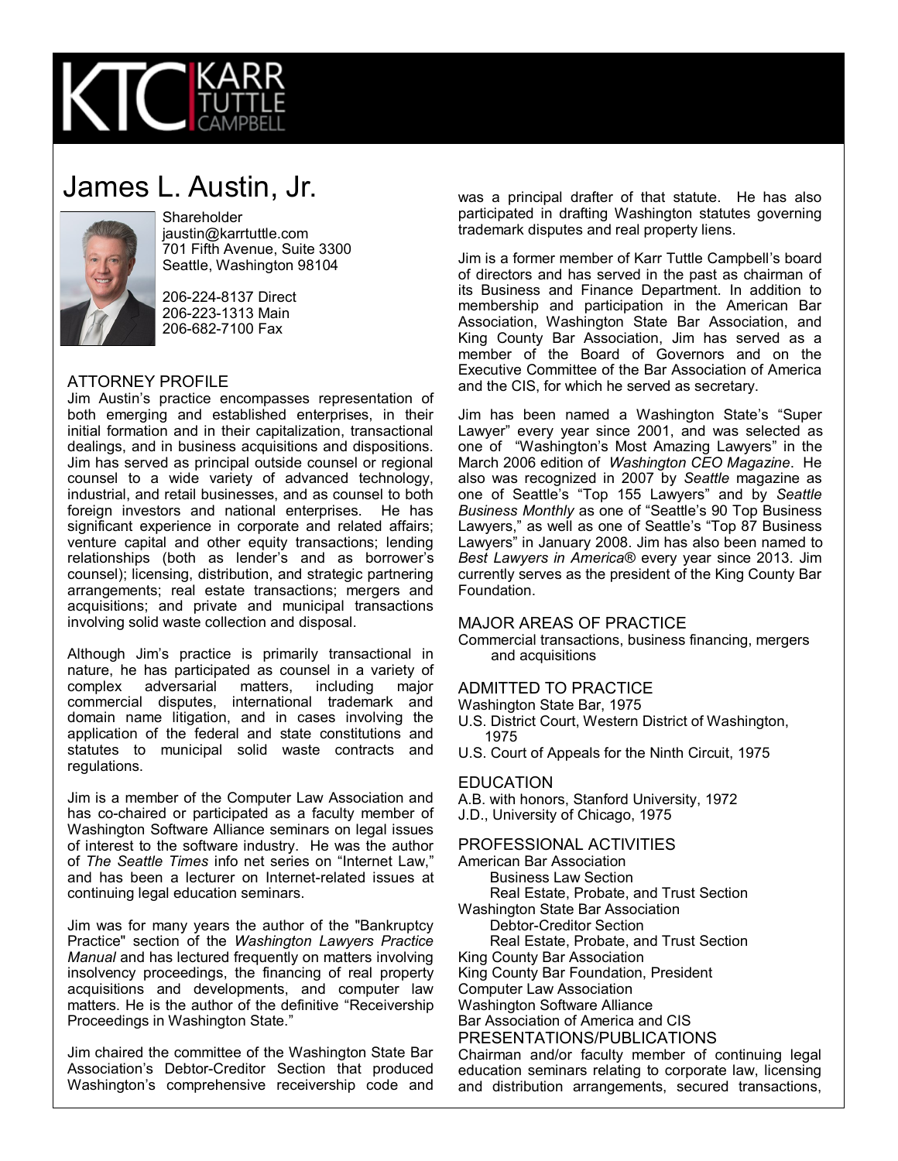

# James L. Austin, Jr.



**Shareholder** jaustin@karrtuttle.com 701 Fifth Avenue, Suite 3300 Seattle, Washington 98104

206-224-8137 Direct 206-223-1313 Main 206-682-7100 Fax

### ATTORNEY PROFILE

Jim Austin's practice encompasses representation of both emerging and established enterprises, in their initial formation and in their capitalization, transactional dealings, and in business acquisitions and dispositions. Jim has served as principal outside counsel or regional counsel to a wide variety of advanced technology, industrial, and retail businesses, and as counsel to both foreign investors and national enterprises. He has significant experience in corporate and related affairs; venture capital and other equity transactions; lending relationships (both as lender's and as borrower's counsel); licensing, distribution, and strategic partnering arrangements; real estate transactions; mergers and acquisitions; and private and municipal transactions involving solid waste collection and disposal.

Although Jim's practice is primarily transactional in nature, he has participated as counsel in a variety of complex adversarial matters, including major commercial disputes, international trademark and domain name litigation, and in cases involving the application of the federal and state constitutions and statutes to municipal solid waste contracts and regulations.

Jim is a member of the Computer Law Association and has co-chaired or participated as a faculty member of Washington Software Alliance seminars on legal issues of interest to the software industry. He was the author of *The Seattle Times* info net series on "Internet Law," and has been a lecturer on Internet-related issues at continuing legal education seminars.

Jim was for many years the author of the "Bankruptcy Practice" section of the *Washington Lawyers Practice Manual* and has lectured frequently on matters involving insolvency proceedings, the financing of real property acquisitions and developments, and computer law matters. He is the author of the definitive "Receivership Proceedings in Washington State."

Jim chaired the committee of the Washington State Bar Association's Debtor-Creditor Section that produced Washington's comprehensive receivership code and was a principal drafter of that statute. He has also participated in drafting Washington statutes governing trademark disputes and real property liens.

Jim is a former member of Karr Tuttle Campbell's board of directors and has served in the past as chairman of its Business and Finance Department. In addition to membership and participation in the American Bar Association, Washington State Bar Association, and King County Bar Association, Jim has served as a member of the Board of Governors and on the Executive Committee of the Bar Association of America and the CIS, for which he served as secretary.

Jim has been named a Washington State's "Super Lawyer" every year since 2001, and was selected as one of "Washington's Most Amazing Lawyers" in the March 2006 edition of *Washington CEO Magazine*. He also was recognized in 2007 by *Seattle* magazine as one of Seattle's "Top 155 Lawyers" and by *Seattle Business Monthly* as one of "Seattle's 90 Top Business Lawyers," as well as one of Seattle's "Top 87 Business Lawyers" in January 2008. Jim has also been named to *Best Lawyers in America®* every year since 2013. Jim currently serves as the president of the King County Bar Foundation.

#### MAJOR AREAS OF PRACTICE

Commercial transactions, business financing, mergers and acquisitions

## ADMITTED TO PRACTICE

Washington State Bar, 1975

U.S. District Court, Western District of Washington, 1975

U.S. Court of Appeals for the Ninth Circuit, 1975

#### **EDUCATION**

A.B. with honors, Stanford University, 1972 J.D., University of Chicago, 1975

#### PROFESSIONAL ACTIVITIES

American Bar Association Business Law Section Real Estate, Probate, and Trust Section Washington State Bar Association Debtor-Creditor Section Real Estate, Probate, and Trust Section King County Bar Association King County Bar Foundation, President Computer Law Association Washington Software Alliance

Bar Association of America and CIS

PRESENTATIONS/PUBLICATIONS

Chairman and/or faculty member of continuing legal education seminars relating to corporate law, licensing and distribution arrangements, secured transactions,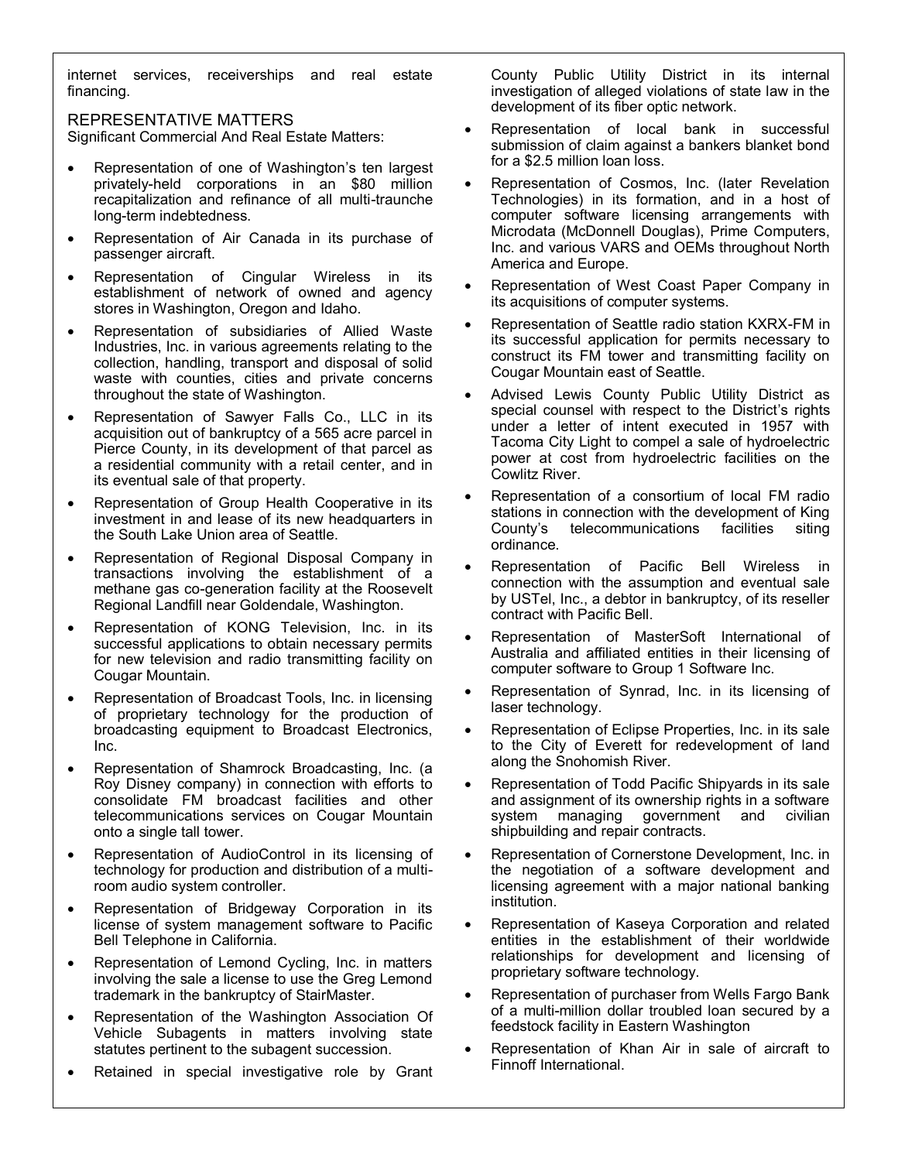internet services, receiverships and real estate financing.

REPRESENTATIVE MATTERS

Significant Commercial And Real Estate Matters:

- Representation of one of Washington's ten largest privately-held corporations in an \$80 million recapitalization and refinance of all multi-traunche long-term indebtedness.
- Representation of Air Canada in its purchase of passenger aircraft.
- Representation of Cingular Wireless in its establishment of network of owned and agency stores in Washington, Oregon and Idaho.
- Representation of subsidiaries of Allied Waste Industries, Inc. in various agreements relating to the collection, handling, transport and disposal of solid waste with counties, cities and private concerns throughout the state of Washington.
- Representation of Sawyer Falls Co., LLC in its acquisition out of bankruptcy of a 565 acre parcel in Pierce County, in its development of that parcel as a residential community with a retail center, and in its eventual sale of that property.
- Representation of Group Health Cooperative in its investment in and lease of its new headquarters in the South Lake Union area of Seattle.
- Representation of Regional Disposal Company in transactions involving the establishment of a methane gas co-generation facility at the Roosevelt Regional Landfill near Goldendale, Washington.
- Representation of KONG Television, Inc. in its successful applications to obtain necessary permits for new television and radio transmitting facility on Cougar Mountain.
- Representation of Broadcast Tools, Inc. in licensing of proprietary technology for the production of broadcasting equipment to Broadcast Electronics, Inc.
- Representation of Shamrock Broadcasting, Inc. (a Roy Disney company) in connection with efforts to consolidate FM broadcast facilities and other telecommunications services on Cougar Mountain onto a single tall tower.
- Representation of AudioControl in its licensing of technology for production and distribution of a multiroom audio system controller.
- Representation of Bridgeway Corporation in its license of system management software to Pacific Bell Telephone in California.
- Representation of Lemond Cycling, Inc. in matters involving the sale a license to use the Greg Lemond trademark in the bankruptcy of StairMaster.
- Representation of the Washington Association Of Vehicle Subagents in matters involving state statutes pertinent to the subagent succession.
- Retained in special investigative role by Grant

County Public Utility District in its internal investigation of alleged violations of state law in the development of its fiber optic network.

- Representation of local bank in successful submission of claim against a bankers blanket bond for a \$2.5 million loan loss.
- Representation of Cosmos, Inc. (later Revelation Technologies) in its formation, and in a host of computer software licensing arrangements with Microdata (McDonnell Douglas), Prime Computers, Inc. and various VARS and OEMs throughout North America and Europe.
- Representation of West Coast Paper Company in its acquisitions of computer systems.
- Representation of Seattle radio station KXRX-FM in its successful application for permits necessary to construct its FM tower and transmitting facility on Cougar Mountain east of Seattle.
- Advised Lewis County Public Utility District as special counsel with respect to the District's rights under a letter of intent executed in 1957 with Tacoma City Light to compel a sale of hydroelectric power at cost from hydroelectric facilities on the Cowlitz River.
- Representation of a consortium of local FM radio stations in connection with the development of King<br>County's telecommunications facilities siting telecommunications facilities siting ordinance.
- Representation of Pacific Bell Wireless in connection with the assumption and eventual sale by USTel, Inc., a debtor in bankruptcy, of its reseller contract with Pacific Bell.
- Representation of MasterSoft International of Australia and affiliated entities in their licensing of computer software to Group 1 Software Inc.
- Representation of Synrad, Inc. in its licensing of laser technology.
- Representation of Eclipse Properties, Inc. in its sale to the City of Everett for redevelopment of land along the Snohomish River.
- Representation of Todd Pacific Shipyards in its sale and assignment of its ownership rights in a software system managing government and civilian shipbuilding and repair contracts.
- Representation of Cornerstone Development, Inc. in the negotiation of a software development and licensing agreement with a major national banking institution.
- Representation of Kaseya Corporation and related entities in the establishment of their worldwide relationships for development and licensing of proprietary software technology.
- Representation of purchaser from Wells Fargo Bank of a multi-million dollar troubled loan secured by a feedstock facility in Eastern Washington
- Representation of Khan Air in sale of aircraft to Finnoff International.